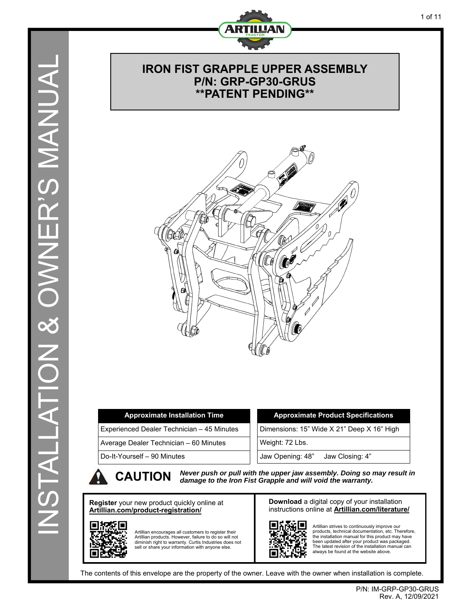

## **IRON FIST GRAPPLE UPPER ASSEMBLY P/N: GRP-GP30-GRUS \*\*PATENT PENDING\*\***



| <b>Approximate Installation Time</b>       | <b>Approximate Product Specifications</b>  |
|--------------------------------------------|--------------------------------------------|
| Experienced Dealer Technician – 45 Minutes | Dimensions: 15" Wide X 21" Deep X 16" High |
| Average Dealer Technician – 60 Minutes     | Weight: 72 Lbs.                            |
| Do-It-Yourself – 90 Minutes                | Jaw Opening: 48"<br>Jaw Closing: 4"        |
|                                            |                                            |

**CAUTION** *Never push or pull with the upper jaw assembly. Doing so may result in damage to the Iron Fist Grapple and will void the warranty.* 

**Register** your new product quickly online at **Artillian.com/product-registration/**



Artillian encourages all customers to register their Artillian products. However, failure to do so will not diminish right to warranty. Curtis Industries does not sell or share your information with anyone else. **Download** a digital copy of your installation instructions online at **Artillian.com/literature/**



Artillian strives to continuously improve our products, technical documentation, etc. Therefore, the installation manual for this product may have been updated after your product was packaged. The latest revision of the installation manual can always be found at the website above.

The contents of this envelope are the property of the owner. Leave with the owner when installation is complete.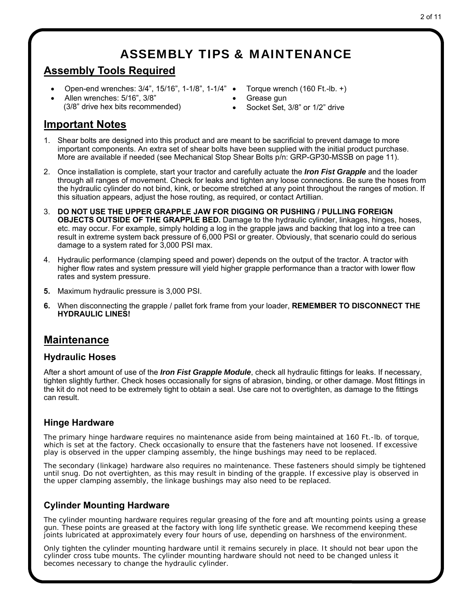## ASSEMBLY TIPS & MAINTENANCE

## **Assembly Tools Required**

- Open-end wrenches: 3/4", 15/16", 1-1/8", 1-1/4"
- Allen wrenches: 5/16", 3/8" (3/8" drive hex bits recommended)
- Torque wrench (160 Ft.-lb. +)
- Grease gun
- Socket Set, 3/8" or 1/2" drive

## **Important Notes**

- 1. Shear bolts are designed into this product and are meant to be sacrificial to prevent damage to more important components. An extra set of shear bolts have been supplied with the initial product purchase. More are available if needed (see Mechanical Stop Shear Bolts p/n: GRP-GP30-MSSB on page 11).
- 2. Once installation is complete, start your tractor and carefully actuate the *Iron Fist Grapple* and the loader through all ranges of movement. Check for leaks and tighten any loose connections. Be sure the hoses from the hydraulic cylinder do not bind, kink, or become stretched at any point throughout the ranges of motion. If this situation appears, adjust the hose routing, as required, or contact Artillian.
- 3. **DO NOT USE THE UPPER GRAPPLE JAW FOR DIGGING OR PUSHING / PULLING FOREIGN OBJECTS OUTSIDE OF THE GRAPPLE BED.** Damage to the hydraulic cylinder, linkages, hinges, hoses, etc. may occur. For example, simply holding a log in the grapple jaws and backing that log into a tree can result in extreme system back pressure of 6,000 PSI or greater. Obviously, that scenario could do serious damage to a system rated for 3,000 PSI max.
- 4. Hydraulic performance (clamping speed and power) depends on the output of the tractor. A tractor with higher flow rates and system pressure will yield higher grapple performance than a tractor with lower flow rates and system pressure.
- **5.** Maximum hydraulic pressure is 3,000 PSI.
- **6.** When disconnecting the grapple / pallet fork frame from your loader, **REMEMBER TO DISCONNECT THE HYDRAULIC LINES!**

## **Maintenance**

#### **Hydraulic Hoses**

After a short amount of use of the *Iron Fist Grapple Module*, check all hydraulic fittings for leaks. If necessary, tighten slightly further. Check hoses occasionally for signs of abrasion, binding, or other damage. Most fittings in the kit do not need to be extremely tight to obtain a seal. Use care not to overtighten, as damage to the fittings can result.

### **Hinge Hardware**

The primary hinge hardware requires no maintenance aside from being maintained at 160 Ft.-lb. of torque, which is set at the factory. Check occasionally to ensure that the fasteners have not loosened. If excessive play is observed in the upper clamping assembly, the hinge bushings may need to be replaced.

The secondary (linkage) hardware also requires no maintenance. These fasteners should simply be tightened until snug. Do not overtighten, as this may result in binding of the grapple. If excessive play is observed in the upper clamping assembly, the linkage bushings may also need to be replaced.

### **Cylinder Mounting Hardware**

The cylinder mounting hardware requires regular greasing of the fore and aft mounting points using a grease gun. These points are greased at the factory with long life synthetic grease. We recommend keeping these joints lubricated at approximately every four hours of use, depending on harshness of the environment.

Only tighten the cylinder mounting hardware until it remains securely in place. It should not bear upon the cylinder cross tube mounts. The cylinder mounting hardware should not need to be changed unless it becomes necessary to change the hydraulic cylinder.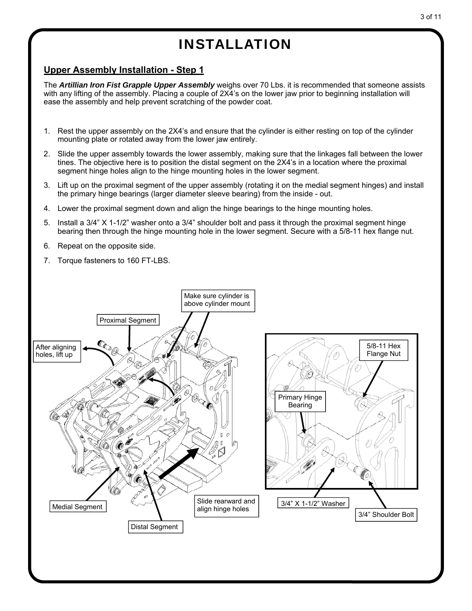### **Upper Assembly Installation - Step 1**

The *Artillian Iron Fist Grapple Upper Assembly* weighs over 70 Lbs. it is recommended that someone assists with any lifting of the assembly. Placing a couple of 2X4's on the lower jaw prior to beginning installation will ease the assembly and help prevent scratching of the powder coat.

- 1. Rest the upper assembly on the 2X4's and ensure that the cylinder is either resting on top of the cylinder mounting plate or rotated away from the lower jaw entirely.
- 2. Slide the upper assembly towards the lower assembly, making sure that the linkages fall between the lower tines. The objective here is to position the distal segment on the 2X4's in a location where the proximal segment hinge holes align to the hinge mounting holes in the lower segment.
- 3. Lift up on the proximal segment of the upper assembly (rotating it on the medial segment hinges) and install the primary hinge bearings (larger diameter sleeve bearing) from the inside - out.
- 4. Lower the proximal segment down and align the hinge bearings to the hinge mounting holes.
- 5. Install a 3/4" X 1-1/2" washer onto a 3/4" shoulder bolt and pass it through the proximal segment hinge bearing then through the hinge mounting hole in the lower segment. Secure with a 5/8-11 hex flange nut.
- 6. Repeat on the opposite side.
- 7. Torque fasteners to 160 FT-LBS.

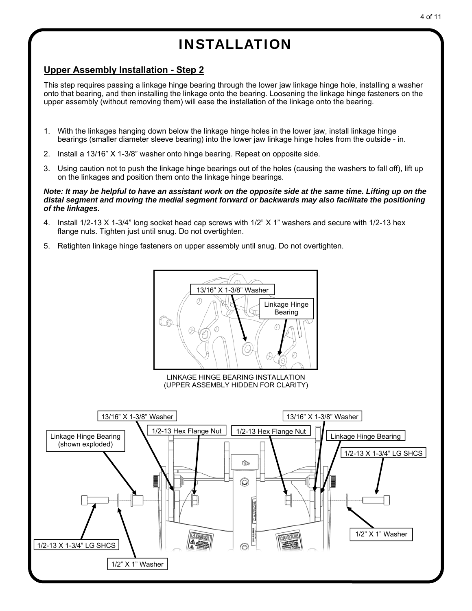## **Upper Assembly Installation - Step 2**

This step requires passing a linkage hinge bearing through the lower jaw linkage hinge hole, installing a washer onto that bearing, and then installing the linkage onto the bearing. Loosening the linkage hinge fasteners on the upper assembly (without removing them) will ease the installation of the linkage onto the bearing.

- 1. With the linkages hanging down below the linkage hinge holes in the lower jaw, install linkage hinge bearings (smaller diameter sleeve bearing) into the lower jaw linkage hinge holes from the outside - in.
- 2. Install a 13/16" X 1-3/8" washer onto hinge bearing. Repeat on opposite side.
- 3. Using caution not to push the linkage hinge bearings out of the holes (causing the washers to fall off), lift up on the linkages and position them onto the linkage hinge bearings.

#### *Note: It may be helpful to have an assistant work on the opposite side at the same time. Lifting up on the distal segment and moving the medial segment forward or backwards may also facilitate the positioning of the linkages.*

- 4. Install 1/2-13 X 1-3/4" long socket head cap screws with 1/2" X 1" washers and secure with 1/2-13 hex flange nuts. Tighten just until snug. Do not overtighten.
- 5. Retighten linkage hinge fasteners on upper assembly until snug. Do not overtighten.

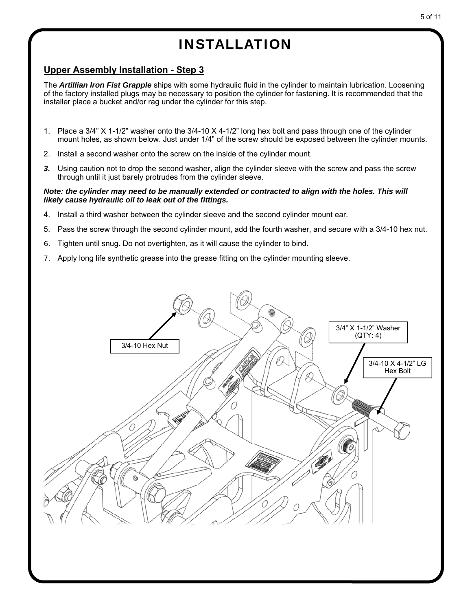## **Upper Assembly Installation - Step 3**

The *Artillian Iron Fist Grapple* ships with some hydraulic fluid in the cylinder to maintain lubrication. Loosening of the factory installed plugs may be necessary to position the cylinder for fastening. It is recommended that the installer place a bucket and/or rag under the cylinder for this step.

- 1. Place a 3/4" X 1-1/2" washer onto the 3/4-10 X 4-1/2" long hex bolt and pass through one of the cylinder mount holes, as shown below. Just under 1/4" of the screw should be exposed between the cylinder mounts.
- 2. Install a second washer onto the screw on the inside of the cylinder mount.
- *3.* Using caution not to drop the second washer, align the cylinder sleeve with the screw and pass the screw through until it just barely protrudes from the cylinder sleeve.

#### *Note: the cylinder may need to be manually extended or contracted to align with the holes. This will likely cause hydraulic oil to leak out of the fittings.*

- 4. Install a third washer between the cylinder sleeve and the second cylinder mount ear.
- 5. Pass the screw through the second cylinder mount, add the fourth washer, and secure with a 3/4-10 hex nut.
- 6. Tighten until snug. Do not overtighten, as it will cause the cylinder to bind.
- 7. Apply long life synthetic grease into the grease fitting on the cylinder mounting sleeve.

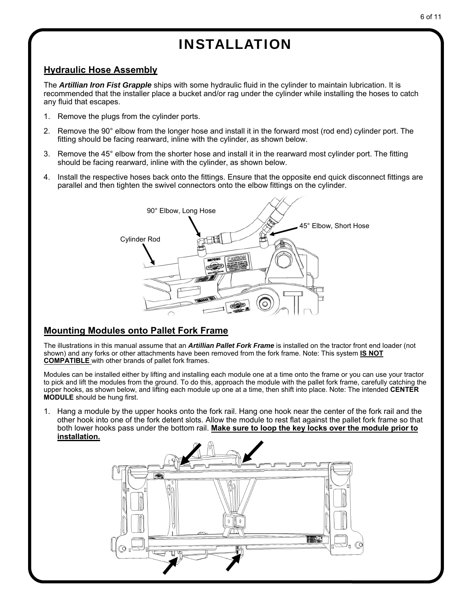## **Hydraulic Hose Assembly**

The *Artillian Iron Fist Grapple* ships with some hydraulic fluid in the cylinder to maintain lubrication. It is recommended that the installer place a bucket and/or rag under the cylinder while installing the hoses to catch any fluid that escapes.

- 1. Remove the plugs from the cylinder ports.
- 2. Remove the 90° elbow from the longer hose and install it in the forward most (rod end) cylinder port. The fitting should be facing rearward, inline with the cylinder, as shown below.
- 3. Remove the 45° elbow from the shorter hose and install it in the rearward most cylinder port. The fitting should be facing rearward, inline with the cylinder, as shown below.
- 4. Install the respective hoses back onto the fittings. Ensure that the opposite end quick disconnect fittings are parallel and then tighten the swivel connectors onto the elbow fittings on the cylinder.



## **Mounting Modules onto Pallet Fork Frame**

The illustrations in this manual assume that an *Artillian Pallet Fork Frame* is installed on the tractor front end loader (not shown) and any forks or other attachments have been removed from the fork frame. Note: This system **IS NOT COMPATIBLE** with other brands of pallet fork frames.

Modules can be installed either by lifting and installing each module one at a time onto the frame or you can use your tractor to pick and lift the modules from the ground. To do this, approach the module with the pallet fork frame, carefully catching the upper hooks, as shown below, and lifting each module up one at a time, then shift into place. Note: The intended **CENTER MODULE** should be hung first.

1. Hang a module by the upper hooks onto the fork rail. Hang one hook near the center of the fork rail and the other hook into one of the fork detent slots. Allow the module to rest flat against the pallet fork frame so that both lower hooks pass under the bottom rail. **Make sure to loop the key locks over the module prior to installation.**

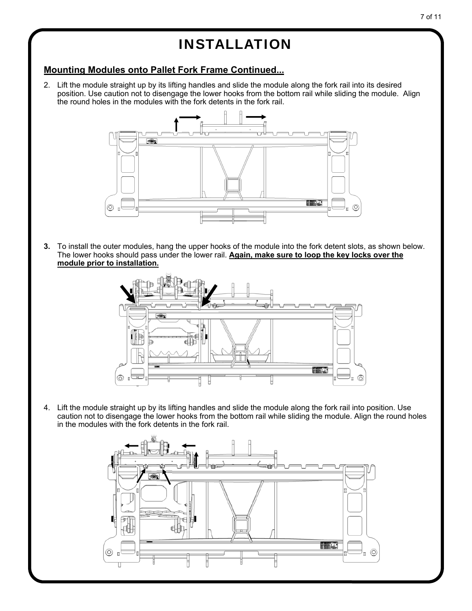## **Mounting Modules onto Pallet Fork Frame Continued...**

2. Lift the module straight up by its lifting handles and slide the module along the fork rail into its desired position. Use caution not to disengage the lower hooks from the bottom rail while sliding the module. Align the round holes in the modules with the fork detents in the fork rail.



**3.** To install the outer modules, hang the upper hooks of the module into the fork detent slots, as shown below. The lower hooks should pass under the lower rail. **Again, make sure to loop the key locks over the module prior to installation.** 



4. Lift the module straight up by its lifting handles and slide the module along the fork rail into position. Use caution not to disengage the lower hooks from the bottom rail while sliding the module. Align the round holes in the modules with the fork detents in the fork rail.

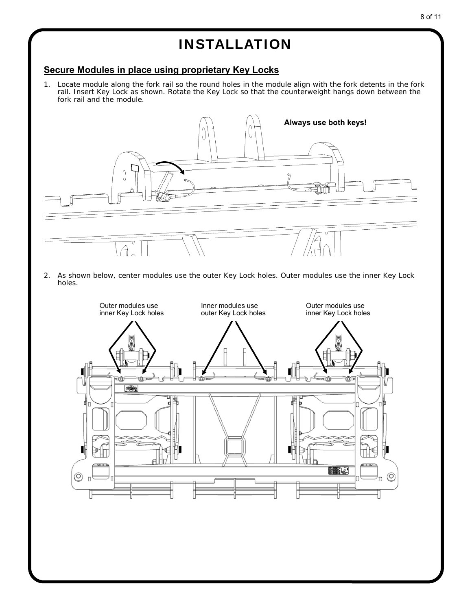### **Secure Modules in place using proprietary Key Locks**

1. Locate module along the fork rail so the round holes in the module align with the fork detents in the fork rail. Insert Key Lock as shown. Rotate the Key Lock so that the counterweight hangs down between the fork rail and the module.



2. As shown below, center modules use the outer Key Lock holes. Outer modules use the inner Key Lock holes.

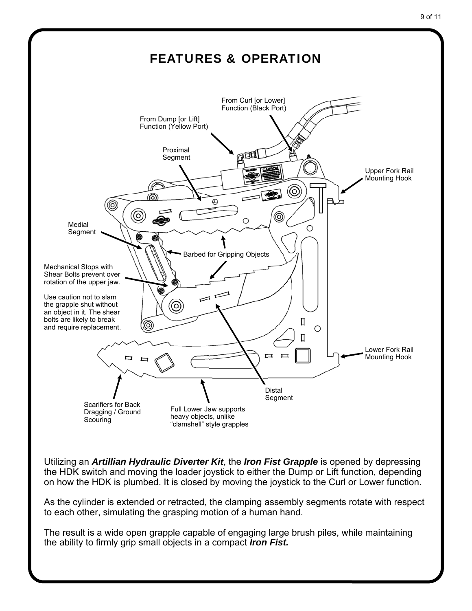

9 of 11

Utilizing an *Artillian Hydraulic Diverter Kit*, the *Iron Fist Grapple* is opened by depressing the HDK switch and moving the loader joystick to either the Dump or Lift function, depending on how the HDK is plumbed. It is closed by moving the joystick to the Curl or Lower function.

As the cylinder is extended or retracted, the clamping assembly segments rotate with respect to each other, simulating the grasping motion of a human hand.

The result is a wide open grapple capable of engaging large brush piles, while maintaining the ability to firmly grip small objects in a compact *Iron Fist.*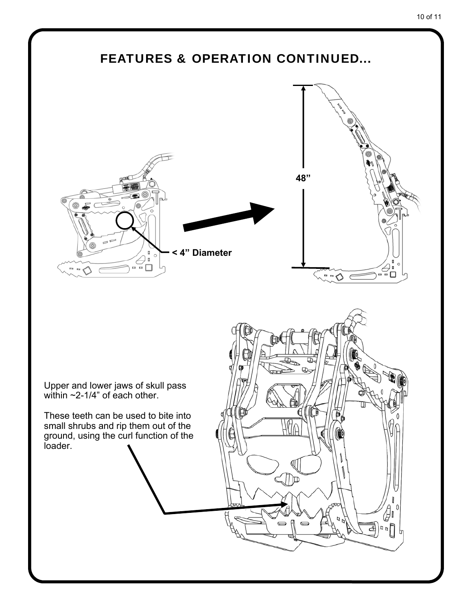